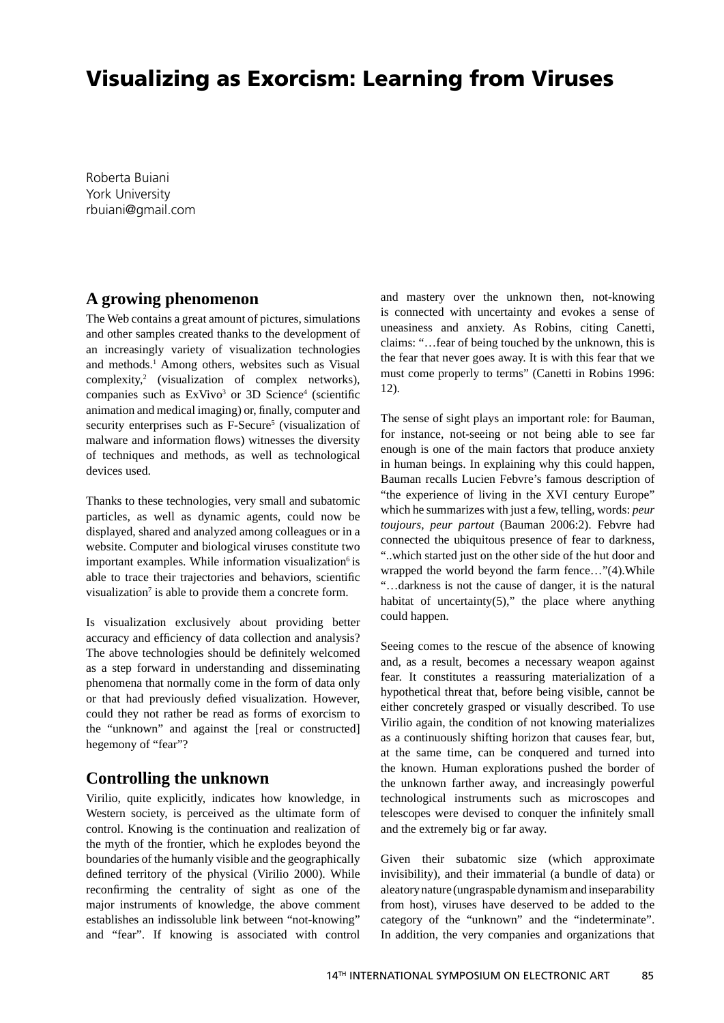# **Visualizing as Exorcism: Learning from Viruses**

Roberta Buiani York University rbuiani@gmail.com

#### **A growing phenomenon**

The Web contains a great amount of pictures, simulations and other samples created thanks to the development of an increasingly variety of visualization technologies and methods.<sup>1</sup> Among others, websites such as Visual complexity,2 (visualization of complex networks), companies such as  $ExVivo<sup>3</sup>$  or 3D Science<sup>4</sup> (scientific animation and medical imaging) or, finally, computer and security enterprises such as F-Secure<sup>5</sup> (visualization of malware and information flows) witnesses the diversity of techniques and methods, as well as technological devices used.

Thanks to these technologies, very small and subatomic particles, as well as dynamic agents, could now be displayed, shared and analyzed among colleagues or in a website. Computer and biological viruses constitute two important examples. While information visualization<sup>6</sup> is able to trace their trajectories and behaviors, scientific visualization<sup>7</sup> is able to provide them a concrete form.

Is visualization exclusively about providing better accuracy and efficiency of data collection and analysis? The above technologies should be definitely welcomed as a step forward in understanding and disseminating phenomena that normally come in the form of data only or that had previously defied visualization. However, could they not rather be read as forms of exorcism to the "unknown" and against the [real or constructed] hegemony of "fear"?

### **Controlling the unknown**

Virilio, quite explicitly, indicates how knowledge, in Western society, is perceived as the ultimate form of control. Knowing is the continuation and realization of the myth of the frontier, which he explodes beyond the boundaries of the humanly visible and the geographically defined territory of the physical (Virilio 2000). While reconfirming the centrality of sight as one of the major instruments of knowledge, the above comment establishes an indissoluble link between "not-knowing" and "fear". If knowing is associated with control

and mastery over the unknown then, not-knowing is connected with uncertainty and evokes a sense of uneasiness and anxiety. As Robins, citing Canetti, claims: "…fear of being touched by the unknown, this is the fear that never goes away. It is with this fear that we must come properly to terms" (Canetti in Robins 1996: 12).

The sense of sight plays an important role: for Bauman, for instance, not-seeing or not being able to see far enough is one of the main factors that produce anxiety in human beings. In explaining why this could happen, Bauman recalls Lucien Febvre's famous description of "the experience of living in the XVI century Europe" which he summarizes with just a few, telling, words: *peur toujours, peur partout* (Bauman 2006:2). Febvre had connected the ubiquitous presence of fear to darkness, "..which started just on the other side of the hut door and wrapped the world beyond the farm fence…"(4).While "…darkness is not the cause of danger, it is the natural habitat of uncertainty $(5)$ ," the place where anything could happen.

Seeing comes to the rescue of the absence of knowing and, as a result, becomes a necessary weapon against fear. It constitutes a reassuring materialization of a hypothetical threat that, before being visible, cannot be either concretely grasped or visually described. To use Virilio again, the condition of not knowing materializes as a continuously shifting horizon that causes fear, but, at the same time, can be conquered and turned into the known. Human explorations pushed the border of the unknown farther away, and increasingly powerful technological instruments such as microscopes and telescopes were devised to conquer the infinitely small and the extremely big or far away.

Given their subatomic size (which approximate invisibility), and their immaterial (a bundle of data) or aleatory nature (ungraspable dynamism and inseparability from host), viruses have deserved to be added to the category of the "unknown" and the "indeterminate". In addition, the very companies and organizations that